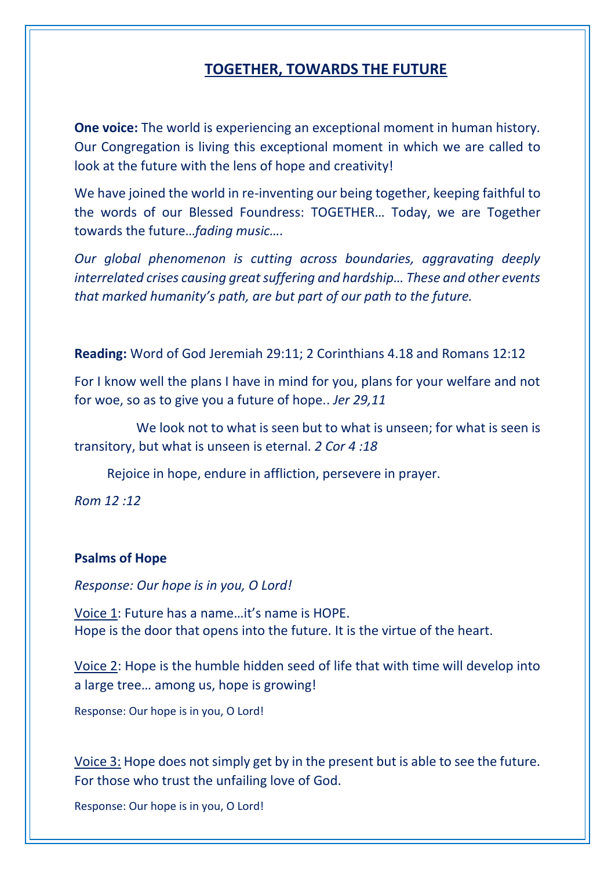## **TOGETHER, TOWARDS THE FUTURE**

**One voice:** The world is experiencing an exceptional moment in human history. Our Congregation is living this exceptional moment in which we are called to look at the future with the lens of hope and creativity!

We have joined the world in re-inventing our being together, keeping faithful to the words of our Blessed Foundress: TOGETHER… Today, we are Together towards the future…*fading music….*

*Our global phenomenon is cutting across boundaries, aggravating deeply interrelated crises causing great suffering and hardship… These and other events that marked humanity's path, are but part of our path to the future.*

**Reading:** Word of God Jeremiah 29:11; 2 Corinthians 4.18 and Romans 12:12

For I know well the plans I have in mind for you, plans for your welfare and not for woe, so as to give you a future of hope.. *Jer 29,11*

 We look not to what is seen but to what is unseen; for what is seen is transitory, but what is unseen is eternal. *2 Cor 4 :18*

Rejoice in hope, endure in affliction, persevere in prayer.

*Rom 12 :12*

## **Psalms of Hope**

*Response: Our hope is in you, O Lord!*

Voice 1: Future has a name…it's name is HOPE. Hope is the door that opens into the future. It is the virtue of the heart.

Voice 2: Hope is the humble hidden seed of life that with time will develop into a large tree… among us, hope is growing!

Response: Our hope is in you, O Lord!

Voice 3: Hope does not simply get by in the present but is able to see the future. For those who trust the unfailing love of God.

Response: Our hope is in you, O Lord!